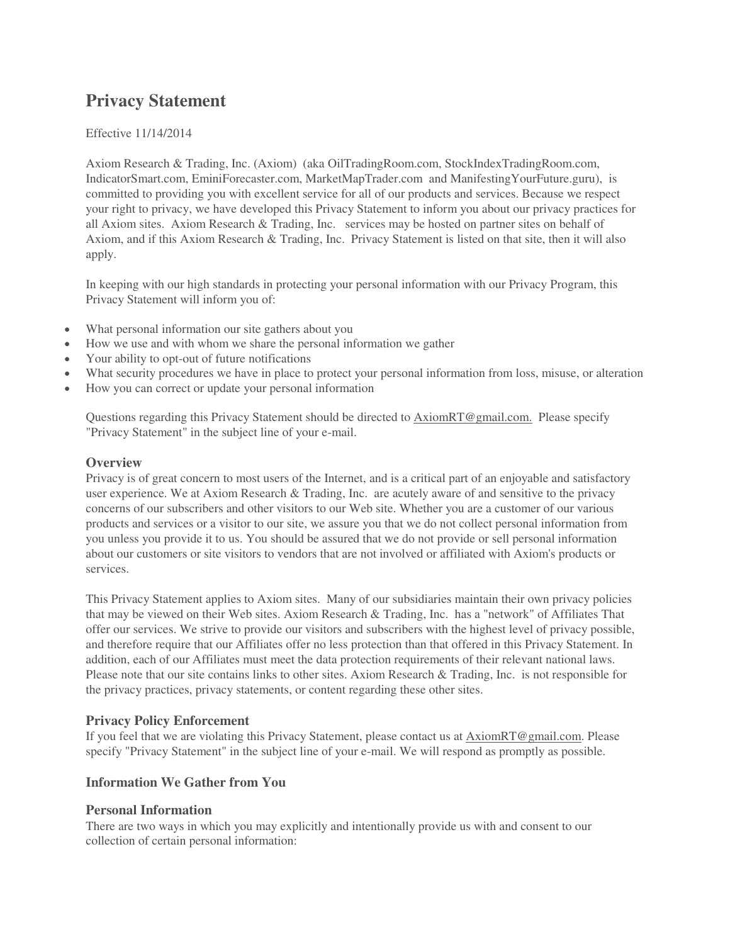# **Privacy Statement**

#### Effective 11/14/2014

Axiom Research & Trading, Inc. (Axiom) (aka OilTradingRoom.com, StockIndexTradingRoom.com, IndicatorSmart.com, EminiForecaster.com, MarketMapTrader.com and ManifestingYourFuture.guru), is committed to providing you with excellent service for all of our products and services. Because we respect your right to privacy, we have developed this Privacy Statement to inform you about our privacy practices for all Axiom sites. Axiom Research & Trading, Inc. services may be hosted on partner sites on behalf of Axiom, and if this Axiom Research & Trading, Inc. Privacy Statement is listed on that site, then it will also apply.

In keeping with our high standards in protecting your personal information with our Privacy Program, this Privacy Statement will inform you of:

- What personal information our site gathers about you
- How we use and with whom we share the personal information we gather
- Your ability to opt-out of future notifications
- What security procedures we have in place to protect your personal information from loss, misuse, or alteration
- How you can correct or update your personal information

Questions regarding this Privacy Statement should be directed to [AxiomRT@gmail.com.](mailto:Support@sirisaacpublishing.com) Please specify "Privacy Statement" in the subject line of your e-mail.

#### **Overview**

Privacy is of great concern to most users of the Internet, and is a critical part of an enjoyable and satisfactory user experience. We at Axiom Research & Trading, Inc. are acutely aware of and sensitive to the privacy concerns of our subscribers and other visitors to our Web site. Whether you are a customer of our various products and services or a visitor to our site, we assure you that we do not collect personal information from you unless you provide it to us. You should be assured that we do not provide or sell personal information about our customers or site visitors to vendors that are not involved or affiliated with Axiom's products or services.

This Privacy Statement applies to Axiom sites. Many of our subsidiaries maintain their own privacy policies that may be viewed on their Web sites. Axiom Research & Trading, Inc. has a "network" of Affiliates That offer our services. We strive to provide our visitors and subscribers with the highest level of privacy possible, and therefore require that our Affiliates offer no less protection than that offered in this Privacy Statement. In addition, each of our Affiliates must meet the data protection requirements of their relevant national laws. Please note that our site contains links to other sites. Axiom Research & Trading, Inc. is not responsible for the privacy practices, privacy statements, or content regarding these other sites.

#### **Privacy Policy Enforcement**

If you feel that we are violating this Privacy Statement, please contact us a[t AxiomRT@gmail.com.](mailto:Support@sirisaacpublishing.com) Please specify "Privacy Statement" in the subject line of your e-mail. We will respond as promptly as possible.

# **Information We Gather from You**

#### **Personal Information**

There are two ways in which you may explicitly and intentionally provide us with and consent to our collection of certain personal information: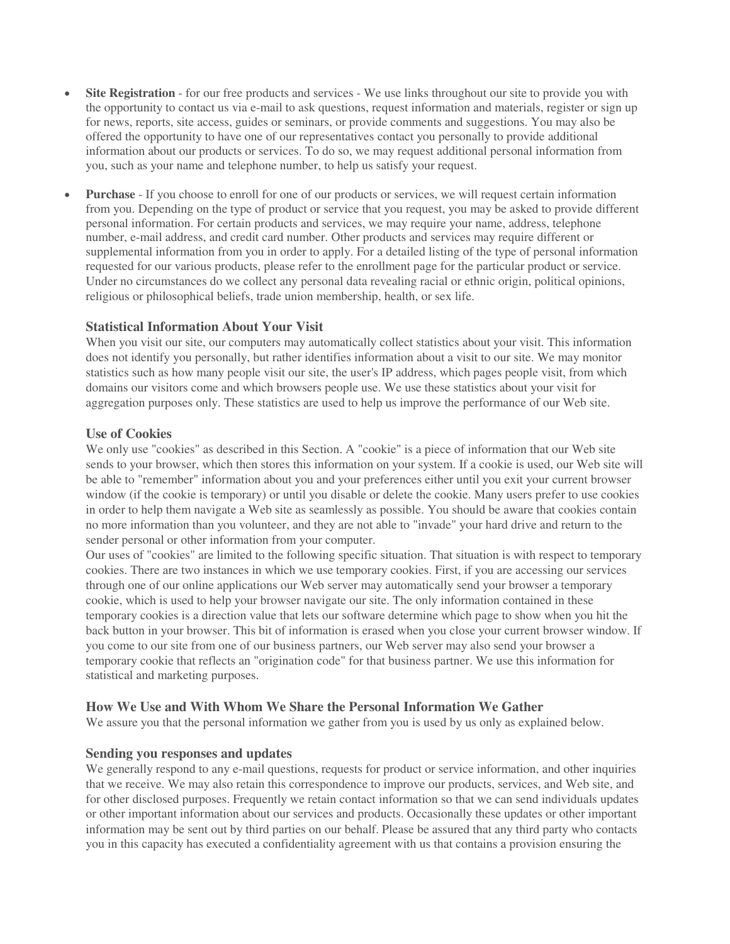- **Site Registration** for our free products and services We use links throughout our site to provide you with the opportunity to contact us via e-mail to ask questions, request information and materials, register or sign up for news, reports, site access, guides or seminars, or provide comments and suggestions. You may also be offered the opportunity to have one of our representatives contact you personally to provide additional information about our products or services. To do so, we may request additional personal information from you, such as your name and telephone number, to help us satisfy your request.
- **Purchase** If you choose to enroll for one of our products or services, we will request certain information from you. Depending on the type of product or service that you request, you may be asked to provide different personal information. For certain products and services, we may require your name, address, telephone number, e-mail address, and credit card number. Other products and services may require different or supplemental information from you in order to apply. For a detailed listing of the type of personal information requested for our various products, please refer to the enrollment page for the particular product or service. Under no circumstances do we collect any personal data revealing racial or ethnic origin, political opinions, religious or philosophical beliefs, trade union membership, health, or sex life.

# **Statistical Information About Your Visit**

When you visit our site, our computers may automatically collect statistics about your visit. This information does not identify you personally, but rather identifies information about a visit to our site. We may monitor statistics such as how many people visit our site, the user's IP address, which pages people visit, from which domains our visitors come and which browsers people use. We use these statistics about your visit for aggregation purposes only. These statistics are used to help us improve the performance of our Web site.

#### **Use of Cookies**

We only use "cookies" as described in this Section. A "cookie" is a piece of information that our Web site sends to your browser, which then stores this information on your system. If a cookie is used, our Web site will be able to "remember" information about you and your preferences either until you exit your current browser window (if the cookie is temporary) or until you disable or delete the cookie. Many users prefer to use cookies in order to help them navigate a Web site as seamlessly as possible. You should be aware that cookies contain no more information than you volunteer, and they are not able to "invade" your hard drive and return to the sender personal or other information from your computer.

Our uses of "cookies" are limited to the following specific situation. That situation is with respect to temporary cookies. There are two instances in which we use temporary cookies. First, if you are accessing our services through one of our online applications our Web server may automatically send your browser a temporary cookie, which is used to help your browser navigate our site. The only information contained in these temporary cookies is a direction value that lets our software determine which page to show when you hit the back button in your browser. This bit of information is erased when you close your current browser window. If you come to our site from one of our business partners, our Web server may also send your browser a temporary cookie that reflects an "origination code" for that business partner. We use this information for statistical and marketing purposes.

#### **How We Use and With Whom We Share the Personal Information We Gather**

We assure you that the personal information we gather from you is used by us only as explained below.

#### **Sending you responses and updates**

We generally respond to any e-mail questions, requests for product or service information, and other inquiries that we receive. We may also retain this correspondence to improve our products, services, and Web site, and for other disclosed purposes. Frequently we retain contact information so that we can send individuals updates or other important information about our services and products. Occasionally these updates or other important information may be sent out by third parties on our behalf. Please be assured that any third party who contacts you in this capacity has executed a confidentiality agreement with us that contains a provision ensuring the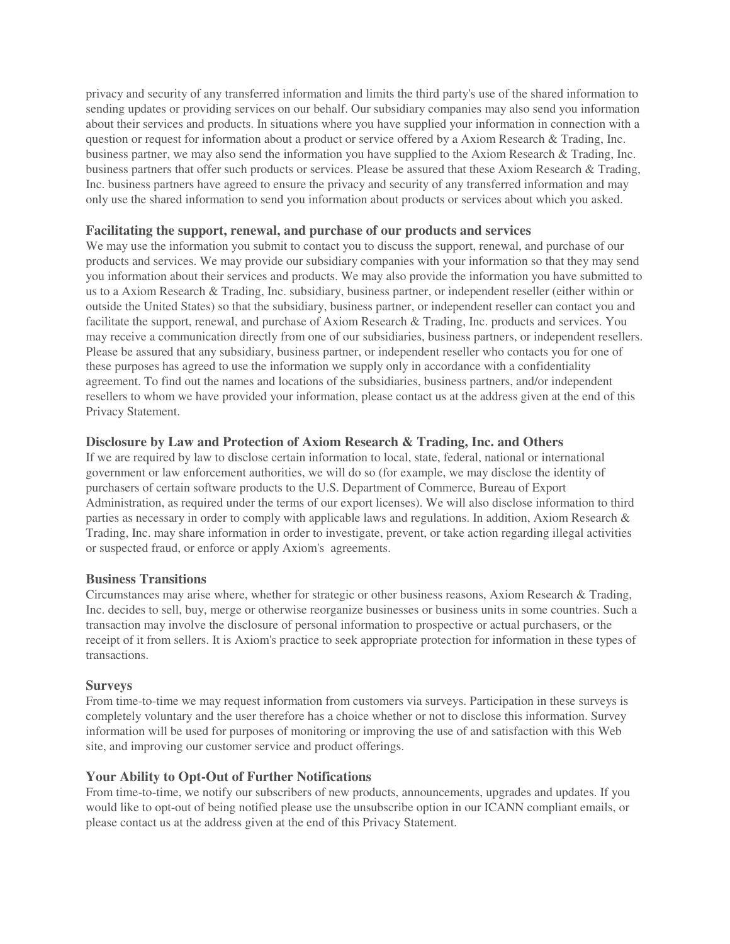privacy and security of any transferred information and limits the third party's use of the shared information to sending updates or providing services on our behalf. Our subsidiary companies may also send you information about their services and products. In situations where you have supplied your information in connection with a question or request for information about a product or service offered by a Axiom Research & Trading, Inc. business partner, we may also send the information you have supplied to the Axiom Research & Trading, Inc. business partners that offer such products or services. Please be assured that these Axiom Research & Trading, Inc. business partners have agreed to ensure the privacy and security of any transferred information and may only use the shared information to send you information about products or services about which you asked.

#### **Facilitating the support, renewal, and purchase of our products and services**

We may use the information you submit to contact you to discuss the support, renewal, and purchase of our products and services. We may provide our subsidiary companies with your information so that they may send you information about their services and products. We may also provide the information you have submitted to us to a Axiom Research & Trading, Inc. subsidiary, business partner, or independent reseller (either within or outside the United States) so that the subsidiary, business partner, or independent reseller can contact you and facilitate the support, renewal, and purchase of Axiom Research & Trading, Inc. products and services. You may receive a communication directly from one of our subsidiaries, business partners, or independent resellers. Please be assured that any subsidiary, business partner, or independent reseller who contacts you for one of these purposes has agreed to use the information we supply only in accordance with a confidentiality agreement. To find out the names and locations of the subsidiaries, business partners, and/or independent resellers to whom we have provided your information, please contact us at the address given at the end of this Privacy Statement.

# **Disclosure by Law and Protection of Axiom Research & Trading, Inc. and Others**

If we are required by law to disclose certain information to local, state, federal, national or international government or law enforcement authorities, we will do so (for example, we may disclose the identity of purchasers of certain software products to the U.S. Department of Commerce, Bureau of Export Administration, as required under the terms of our export licenses). We will also disclose information to third parties as necessary in order to comply with applicable laws and regulations. In addition, Axiom Research & Trading, Inc. may share information in order to investigate, prevent, or take action regarding illegal activities or suspected fraud, or enforce or apply Axiom's agreements.

#### **Business Transitions**

Circumstances may arise where, whether for strategic or other business reasons, Axiom Research & Trading, Inc. decides to sell, buy, merge or otherwise reorganize businesses or business units in some countries. Such a transaction may involve the disclosure of personal information to prospective or actual purchasers, or the receipt of it from sellers. It is Axiom's practice to seek appropriate protection for information in these types of transactions.

#### **Surveys**

From time-to-time we may request information from customers via surveys. Participation in these surveys is completely voluntary and the user therefore has a choice whether or not to disclose this information. Survey information will be used for purposes of monitoring or improving the use of and satisfaction with this Web site, and improving our customer service and product offerings.

# **Your Ability to Opt-Out of Further Notifications**

From time-to-time, we notify our subscribers of new products, announcements, upgrades and updates. If you would like to opt-out of being notified please use the unsubscribe option in our ICANN compliant emails, or please contact us at the address given at the end of this Privacy Statement.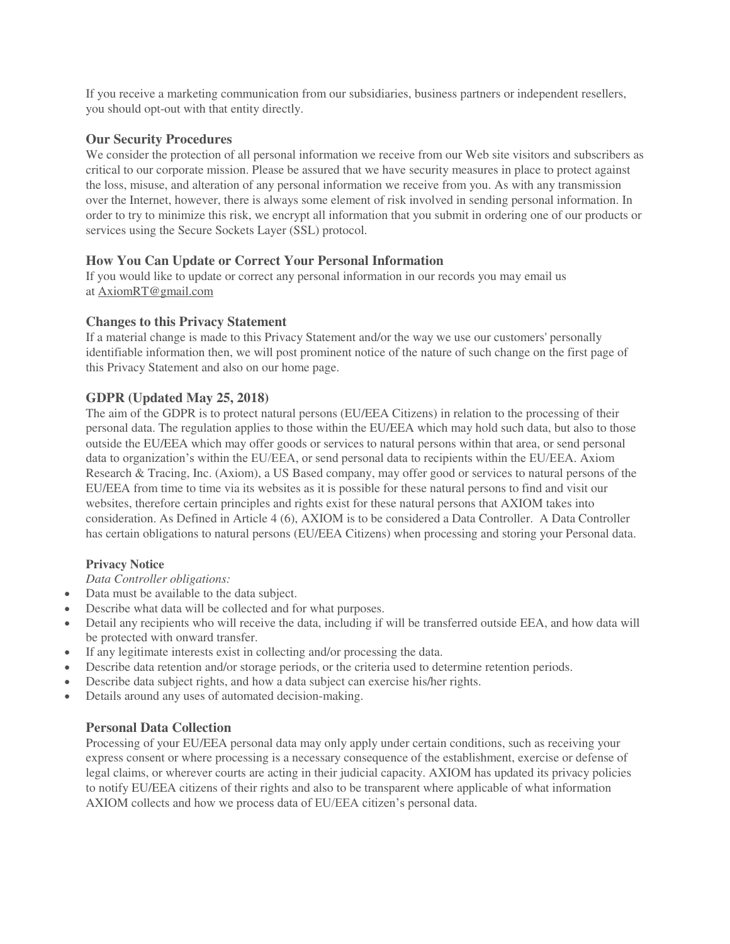If you receive a marketing communication from our subsidiaries, business partners or independent resellers, you should opt-out with that entity directly.

#### **Our Security Procedures**

We consider the protection of all personal information we receive from our Web site visitors and subscribers as critical to our corporate mission. Please be assured that we have security measures in place to protect against the loss, misuse, and alteration of any personal information we receive from you. As with any transmission over the Internet, however, there is always some element of risk involved in sending personal information. In order to try to minimize this risk, we encrypt all information that you submit in ordering one of our products or services using the Secure Sockets Layer (SSL) protocol.

# **How You Can Update or Correct Your Personal Information**

If you would like to update or correct any personal information in our records you may email us at [AxiomRT@gmail.com](mailto:Support@sirisaacpublishing.com) 

# **Changes to this Privacy Statement**

If a material change is made to this Privacy Statement and/or the way we use our customers' personally identifiable information then, we will post prominent notice of the nature of such change on the first page of this Privacy Statement and also on our home page.

# **GDPR (Updated May 25, 2018)**

The aim of the GDPR is to protect natural persons (EU/EEA Citizens) in relation to the processing of their personal data. The regulation applies to those within the EU/EEA which may hold such data, but also to those outside the EU/EEA which may offer goods or services to natural persons within that area, or send personal data to organization's within the EU/EEA, or send personal data to recipients within the EU/EEA. Axiom Research & Tracing, Inc. (Axiom), a US Based company, may offer good or services to natural persons of the EU/EEA from time to time via its websites as it is possible for these natural persons to find and visit our websites, therefore certain principles and rights exist for these natural persons that AXIOM takes into consideration. As Defined in Article 4 (6), AXIOM is to be considered a Data Controller. A Data Controller has certain obligations to natural persons (EU/EEA Citizens) when processing and storing your Personal data.

#### **Privacy Notice**

#### *Data Controller obligations:*

- Data must be available to the data subject.
- Describe what data will be collected and for what purposes.
- Detail any recipients who will receive the data, including if will be transferred outside EEA, and how data will be protected with onward transfer.
- If any legitimate interests exist in collecting and/or processing the data.
- Describe data retention and/or storage periods, or the criteria used to determine retention periods.
- Describe data subject rights, and how a data subject can exercise his/her rights.
- Details around any uses of automated decision-making.

#### **Personal Data Collection**

Processing of your EU/EEA personal data may only apply under certain conditions, such as receiving your express consent or where processing is a necessary consequence of the establishment, exercise or defense of legal claims, or wherever courts are acting in their judicial capacity. AXIOM has updated its privacy policies to notify EU/EEA citizens of their rights and also to be transparent where applicable of what information AXIOM collects and how we process data of EU/EEA citizen's personal data.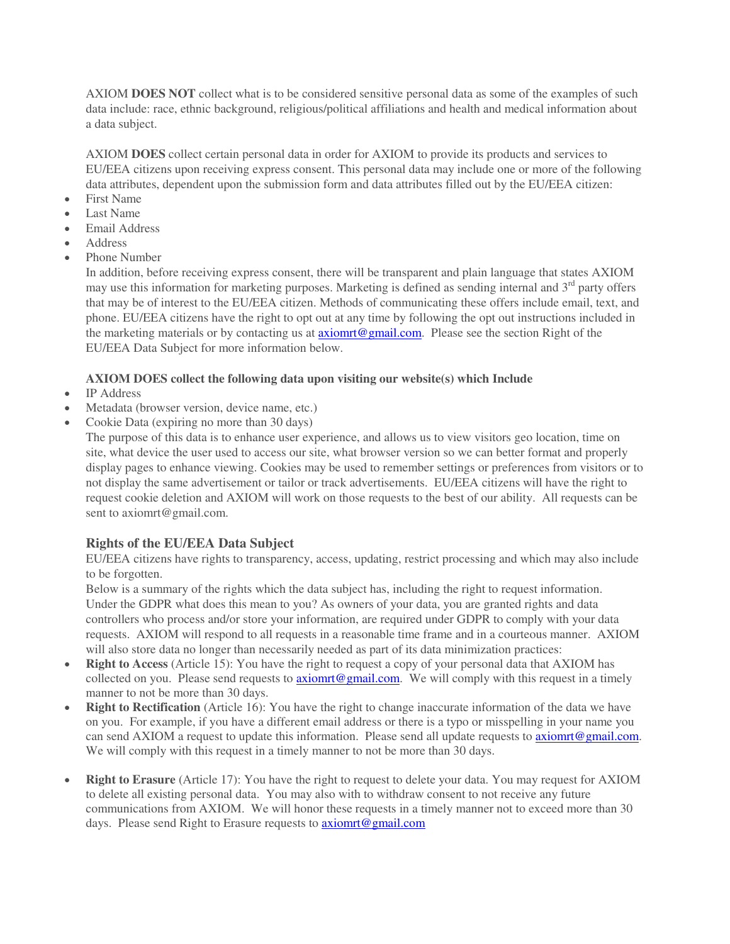AXIOM **DOES NOT** collect what is to be considered sensitive personal data as some of the examples of such data include: race, ethnic background, religious/political affiliations and health and medical information about a data subject.

AXIOM **DOES** collect certain personal data in order for AXIOM to provide its products and services to EU/EEA citizens upon receiving express consent. This personal data may include one or more of the following data attributes, dependent upon the submission form and data attributes filled out by the EU/EEA citizen:

- First Name
- Last Name
- Email Address
- Address
- Phone Number

In addition, before receiving express consent, there will be transparent and plain language that states AXIOM may use this information for marketing purposes. Marketing is defined as sending internal and 3<sup>rd</sup> party offers that may be of interest to the EU/EEA citizen. Methods of communicating these offers include email, text, and phone. EU/EEA citizens have the right to opt out at any time by following the opt out instructions included in the marketing materials or by contacting us at [axiomrt@gmail.com.](mailto:admin@sirisaacpublishing.com) Please see the section Right of the EU/EEA Data Subject for more information below.

# **AXIOM DOES collect the following data upon visiting our website(s) which Include**

- IP Address
- Metadata (browser version, device name, etc.)
- Cookie Data (expiring no more than 30 days)

The purpose of this data is to enhance user experience, and allows us to view visitors geo location, time on site, what device the user used to access our site, what browser version so we can better format and properly display pages to enhance viewing. Cookies may be used to remember settings or preferences from visitors or to not display the same advertisement or tailor or track advertisements. EU/EEA citizens will have the right to request cookie deletion and AXIOM will work on those requests to the best of our ability. All requests can be sent to axiomrt@gmail.com.

# **Rights of the EU/EEA Data Subject**

EU/EEA citizens have rights to transparency, access, updating, restrict processing and which may also include to be forgotten.

Below is a summary of the rights which the data subject has, including the right to request information. Under the GDPR what does this mean to you? As owners of your data, you are granted rights and data controllers who process and/or store your information, are required under GDPR to comply with your data requests. AXIOM will respond to all requests in a reasonable time frame and in a courteous manner. AXIOM will also store data no longer than necessarily needed as part of its data minimization practices:

- **Right to Access** (Article 15): You have the right to request a copy of your personal data that AXIOM has collected on you. Please send requests to axiomit@gmail.com. We will comply with this request in a timely manner to not be more than 30 days.
- **Right to Rectification** (Article 16): You have the right to change inaccurate information of the data we have on you. For example, if you have a different email address or there is a typo or misspelling in your name you can send AXIOM a request to update this information. Please send all update requests to [axiomrt@gmail.com.](mailto:admin@sirisaacpublishing.com) We will comply with this request in a timely manner to not be more than 30 days.
- **Right to Erasure** (Article 17): You have the right to request to delete your data. You may request for AXIOM to delete all existing personal data. You may also with to withdraw consent to not receive any future communications from AXIOM. We will honor these requests in a timely manner not to exceed more than 30 days. Please send Right to Erasure requests to **axiomrt@gmail.com**